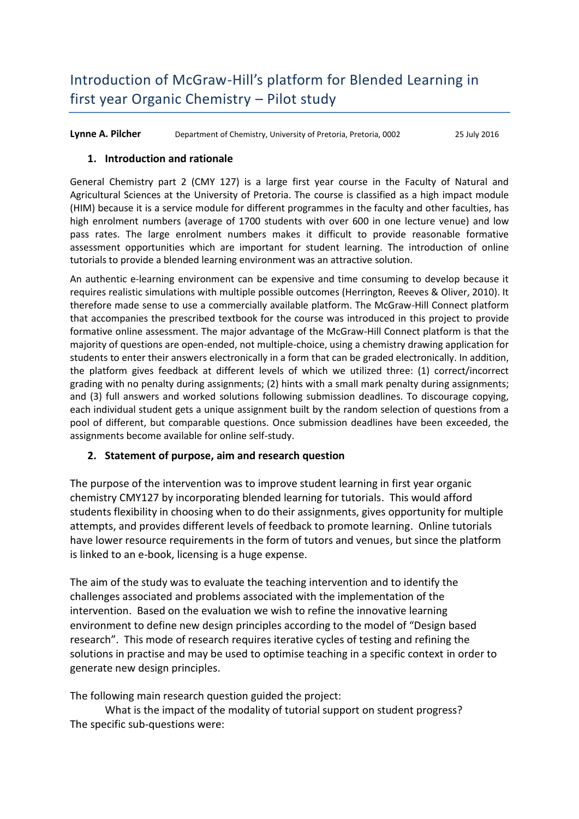**Lynne A. Pilcher** Department of Chemistry, University of Pretoria, Pretoria, 0002 25 July 2016

### **1. Introduction and rationale**

General Chemistry part 2 (CMY 127) is a large first year course in the Faculty of Natural and Agricultural Sciences at the University of Pretoria. The course is classified as a high impact module (HIM) because it is a service module for different programmes in the faculty and other faculties, has high enrolment numbers (average of 1700 students with over 600 in one lecture venue) and low pass rates. The large enrolment numbers makes it difficult to provide reasonable formative assessment opportunities which are important for student learning. The introduction of online tutorials to provide a blended learning environment was an attractive solution.

An authentic e-learning environment can be expensive and time consuming to develop because it requires realistic simulations with multiple possible outcomes (Herrington, Reeves & Oliver, 2010). It therefore made sense to use a commercially available platform. The McGraw-Hill Connect platform that accompanies the prescribed textbook for the course was introduced in this project to provide formative online assessment. The major advantage of the McGraw-Hill Connect platform is that the majority of questions are open-ended, not multiple-choice, using a chemistry drawing application for students to enter their answers electronically in a form that can be graded electronically. In addition, the platform gives feedback at different levels of which we utilized three: (1) correct/incorrect grading with no penalty during assignments; (2) hints with a small mark penalty during assignments; and (3) full answers and worked solutions following submission deadlines. To discourage copying, each individual student gets a unique assignment built by the random selection of questions from a pool of different, but comparable questions. Once submission deadlines have been exceeded, the assignments become available for online self-study.

### **2. Statement of purpose, aim and research question**

The purpose of the intervention was to improve student learning in first year organic chemistry CMY127 by incorporating blended learning for tutorials. This would afford students flexibility in choosing when to do their assignments, gives opportunity for multiple attempts, and provides different levels of feedback to promote learning. Online tutorials have lower resource requirements in the form of tutors and venues, but since the platform is linked to an e-book, licensing is a huge expense.

The aim of the study was to evaluate the teaching intervention and to identify the challenges associated and problems associated with the implementation of the intervention. Based on the evaluation we wish to refine the innovative learning environment to define new design principles according to the model of "Design based research". This mode of research requires iterative cycles of testing and refining the solutions in practise and may be used to optimise teaching in a specific context in order to generate new design principles.

The following main research question guided the project:

What is the impact of the modality of tutorial support on student progress? The specific sub-questions were: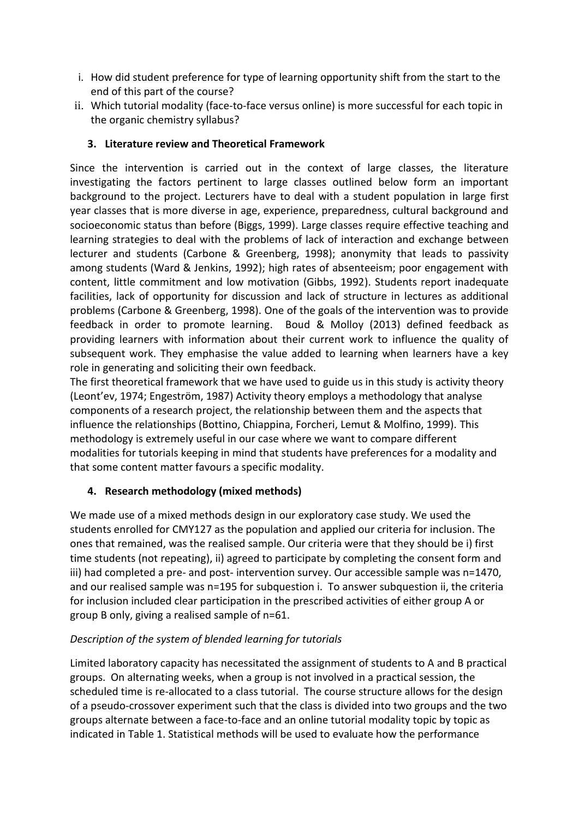- i. How did student preference for type of learning opportunity shift from the start to the end of this part of the course?
- ii. Which tutorial modality (face-to-face versus online) is more successful for each topic in the organic chemistry syllabus?

## **3. Literature review and Theoretical Framework**

Since the intervention is carried out in the context of large classes, the literature investigating the factors pertinent to large classes outlined below form an important background to the project. Lecturers have to deal with a student population in large first year classes that is more diverse in age, experience, preparedness, cultural background and socioeconomic status than before (Biggs, 1999). Large classes require effective teaching and learning strategies to deal with the problems of lack of interaction and exchange between lecturer and students (Carbone & Greenberg, 1998); anonymity that leads to passivity among students (Ward & Jenkins, 1992); high rates of absenteeism; poor engagement with content, little commitment and low motivation (Gibbs, 1992). Students report inadequate facilities, lack of opportunity for discussion and lack of structure in lectures as additional problems (Carbone & Greenberg, 1998). One of the goals of the intervention was to provide feedback in order to promote learning. Boud & Molloy (2013) defined feedback as providing learners with information about their current work to influence the quality of subsequent work. They emphasise the value added to learning when learners have a key role in generating and soliciting their own feedback.

The first theoretical framework that we have used to guide us in this study is activity theory (Leont'ev, 1974; Engeström, 1987) Activity theory employs a methodology that analyse components of a research project, the relationship between them and the aspects that influence the relationships (Bottino, Chiappina, Forcheri, Lemut & Molfino, 1999). This methodology is extremely useful in our case where we want to compare different modalities for tutorials keeping in mind that students have preferences for a modality and that some content matter favours a specific modality.

# **4. Research methodology (mixed methods)**

We made use of a mixed methods design in our exploratory case study. We used the students enrolled for CMY127 as the population and applied our criteria for inclusion. The ones that remained, was the realised sample. Our criteria were that they should be i) first time students (not repeating), ii) agreed to participate by completing the consent form and iii) had completed a pre- and post- intervention survey. Our accessible sample was n=1470, and our realised sample was n=195 for subquestion i. To answer subquestion ii, the criteria for inclusion included clear participation in the prescribed activities of either group A or group B only, giving a realised sample of n=61.

# *Description of the system of blended learning for tutorials*

Limited laboratory capacity has necessitated the assignment of students to A and B practical groups. On alternating weeks, when a group is not involved in a practical session, the scheduled time is re-allocated to a class tutorial. The course structure allows for the design of a pseudo-crossover experiment such that the class is divided into two groups and the two groups alternate between a face-to-face and an online tutorial modality topic by topic as indicated in Table 1. Statistical methods will be used to evaluate how the performance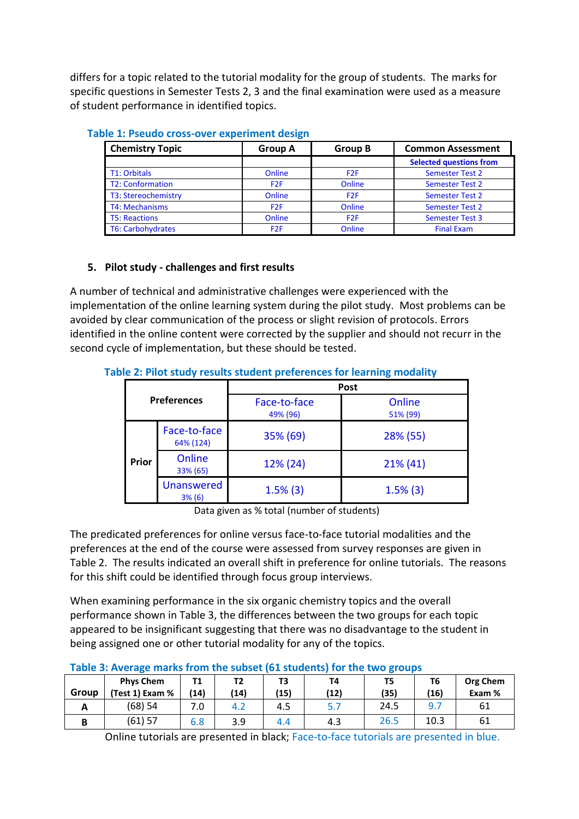differs for a topic related to the tutorial modality for the group of students. The marks for specific questions in Semester Tests 2, 3 and the final examination were used as a measure of student performance in identified topics.

| <b>Chemistry Topic</b>   | Group A         | <b>Group B</b>   | <b>Common Assessment</b>       |  |
|--------------------------|-----------------|------------------|--------------------------------|--|
|                          |                 |                  | <b>Selected questions from</b> |  |
| T1: Orbitals             | Online          | F <sub>2</sub> F | <b>Semester Test 2</b>         |  |
| <b>T2: Conformation</b>  | F <sub>2F</sub> | Online           | <b>Semester Test 2</b>         |  |
| T3: Stereochemistry      | Online          | F <sub>2F</sub>  | <b>Semester Test 2</b>         |  |
| <b>T4: Mechanisms</b>    | F <sub>2F</sub> | Online           | <b>Semester Test 2</b>         |  |
| <b>T5: Reactions</b>     | Online          | F <sub>2F</sub>  | <b>Semester Test 3</b>         |  |
| <b>T6: Carbohydrates</b> | F <sub>2F</sub> | Online           | <b>Final Exam</b>              |  |

### **Table 1: Pseudo cross-over experiment design**

## **5. Pilot study - challenges and first results**

A number of technical and administrative challenges were experienced with the implementation of the online learning system during the pilot study. Most problems can be avoided by clear communication of the process or slight revision of protocols. Errors identified in the online content were corrected by the supplier and should not recurr in the second cycle of implementation, but these should be tested.

| <b>Preferences</b> |                             | <b>Post</b>              |                    |  |  |
|--------------------|-----------------------------|--------------------------|--------------------|--|--|
|                    |                             | Face-to-face<br>49% (96) | Online<br>51% (99) |  |  |
|                    | Face-to-face<br>64% (124)   | 35% (69)                 | 28% (55)           |  |  |
| Prior              | Online<br>33% (65)          | 12% (24)                 | $21\%$ (41)        |  |  |
|                    | <b>Unanswered</b><br>3% (6) | $1.5\%$ (3)              | $1.5\%$ (3)        |  |  |

**Table 2: Pilot study results student preferences for learning modality** 

Data given as % total (number of students)

The predicated preferences for online versus face-to-face tutorial modalities and the preferences at the end of the course were assessed from survey responses are given in Table 2. The results indicated an overall shift in preference for online tutorials. The reasons for this shift could be identified through focus group interviews.

When examining performance in the six organic chemistry topics and the overall performance shown in Table 3, the differences between the two groups for each topic appeared to be insignificant suggesting that there was no disadvantage to the student in being assigned one or other tutorial modality for any of the topics.

| Table J. Average mans from the subset (01 students) for the two groups |                  |      |                  |      |      |      |      |          |
|------------------------------------------------------------------------|------------------|------|------------------|------|------|------|------|----------|
|                                                                        | <b>Phys Chem</b> | Τ1   |                  | T3   | T4   | T5   | T6   | Org Chem |
| Group                                                                  | (Test 1) Exam %  | (14) | (14)             | (15) | (12) | (35) | (16) | Exam %   |
| <u>r</u>                                                               | (68) 54          | 7.0  | $4.\overline{2}$ | 4.5  | 5.7  | 24.5 |      | 61       |
|                                                                        | (61) 57          | 6.8  | 3.9              | 4.4  | 4.3  | 26.5 | 10.3 | 61       |

## **Table 3: Average marks from the subset (61 students) for the two groups**

Online tutorials are presented in black; Face-to-face tutorials are presented in blue.